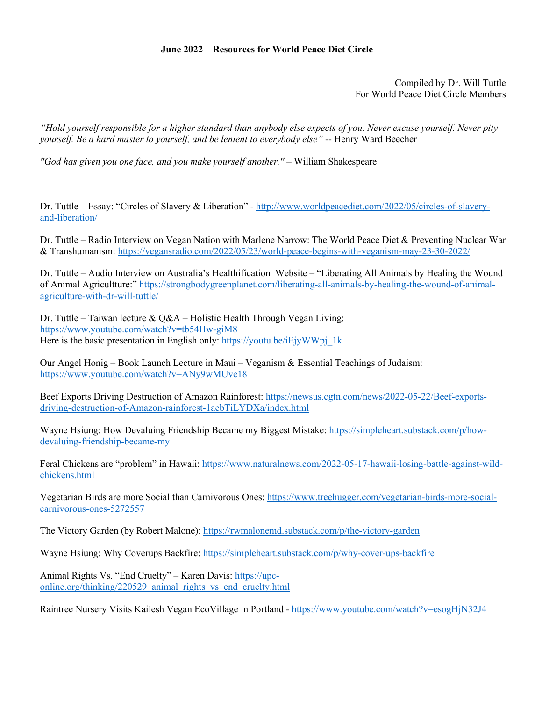## **June 2022 – Resources for World Peace Diet Circle**

Compiled by Dr. Will Tuttle For World Peace Diet Circle Members

*"Hold yourself responsible for a higher standard than anybody else expects of you. Never excuse yourself. Never pity yourself. Be a hard master to yourself, and be lenient to everybody else"* -- Henry Ward Beecher

*''God has given you one face, and you make yourself another.'' –* William Shakespeare

Dr. Tuttle – Essay: "Circles of Slavery & Liberation" - http://www.worldpeacediet.com/2022/05/circles-of-slaveryand-liberation/

Dr. Tuttle – Radio Interview on Vegan Nation with Marlene Narrow: The World Peace Diet & Preventing Nuclear War & Transhumanism: https://vegansradio.com/2022/05/23/world-peace-begins-with-veganism-may-23-30-2022/

Dr. Tuttle – Audio Interview on Australia's Healthification Website – "Liberating All Animals by Healing the Wound of Animal Agricultture:" https://strongbodygreenplanet.com/liberating-all-animals-by-healing-the-wound-of-animalagriculture-with-dr-will-tuttle/

Dr. Tuttle – Taiwan lecture &  $Q&A$  – Holistic Health Through Vegan Living: https://www.youtube.com/watch?v=tb54Hw-giM8 Here is the basic presentation in English only: https://youtu.be/iEjyWWpj\_1k

Our Angel Honig – Book Launch Lecture in Maui – Veganism & Essential Teachings of Judaism: https://www.youtube.com/watch?v=ANy9wMUve18

Beef Exports Driving Destruction of Amazon Rainforest: https://newsus.cgtn.com/news/2022-05-22/Beef-exportsdriving-destruction-of-Amazon-rainforest-1aebTiLYDXa/index.html

Wayne Hsiung: How Devaluing Friendship Became my Biggest Mistake: https://simpleheart.substack.com/p/howdevaluing-friendship-became-my

Feral Chickens are "problem" in Hawaii: https://www.naturalnews.com/2022-05-17-hawaii-losing-battle-against-wildchickens.html

Vegetarian Birds are more Social than Carnivorous Ones: https://www.treehugger.com/vegetarian-birds-more-socialcarnivorous-ones-5272557

The Victory Garden (by Robert Malone): https://rwmalonemd.substack.com/p/the-victory-garden

Wayne Hsiung: Why Coverups Backfire: https://simpleheart.substack.com/p/why-cover-ups-backfire

Animal Rights Vs. "End Cruelty" – Karen Davis: https://upconline.org/thinking/220529\_animal\_rights\_vs\_end\_cruelty.html

Raintree Nursery Visits Kailesh Vegan EcoVillage in Portland - https://www.youtube.com/watch?v=esogHjN32J4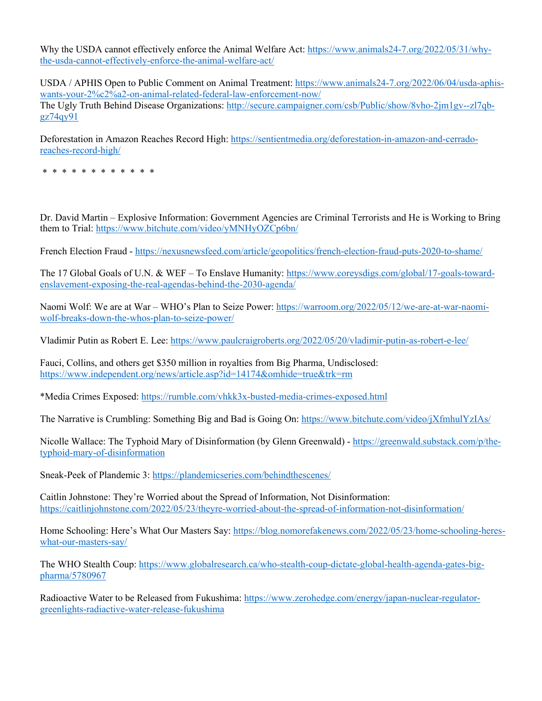Why the USDA cannot effectively enforce the Animal Welfare Act: https://www.animals24-7.org/2022/05/31/whythe-usda-cannot-effectively-enforce-the-animal-welfare-act/

USDA / APHIS Open to Public Comment on Animal Treatment: https://www.animals24-7.org/2022/06/04/usda-aphiswants-your-2%c2%a2-on-animal-related-federal-law-enforcement-now/ The Ugly Truth Behind Disease Organizations: http://secure.campaigner.com/csb/Public/show/8vho-2jm1gv--zl7qbgz74qy91

Deforestation in Amazon Reaches Record High: https://sentientmedia.org/deforestation-in-amazon-and-cerradoreaches-record-high/

\* \* \* \* \* \* \* \* \* \* \* \*

Dr. David Martin – Explosive Information: Government Agencies are Criminal Terrorists and He is Working to Bring them to Trial: https://www.bitchute.com/video/yMNHyOZCp6bn/

French Election Fraud - https://nexusnewsfeed.com/article/geopolitics/french-election-fraud-puts-2020-to-shame/

The 17 Global Goals of U.N. & WEF – To Enslave Humanity: https://www.coreysdigs.com/global/17-goals-towardenslavement-exposing-the-real-agendas-behind-the-2030-agenda/

Naomi Wolf: We are at War – WHO's Plan to Seize Power: https://warroom.org/2022/05/12/we-are-at-war-naomiwolf-breaks-down-the-whos-plan-to-seize-power/

Vladimir Putin as Robert E. Lee: https://www.paulcraigroberts.org/2022/05/20/vladimir-putin-as-robert-e-lee/

Fauci, Collins, and others get \$350 million in royalties from Big Pharma, Undisclosed: https://www.independent.org/news/article.asp?id=14174&omhide=true&trk=rm

\*Media Crimes Exposed: https://rumble.com/vhkk3x-busted-media-crimes-exposed.html

The Narrative is Crumbling: Something Big and Bad is Going On: https://www.bitchute.com/video/jXfmhulYzIAs/

Nicolle Wallace: The Typhoid Mary of Disinformation (by Glenn Greenwald) - https://greenwald.substack.com/p/thetyphoid-mary-of-disinformation

Sneak-Peek of Plandemic 3: https://plandemicseries.com/behindthescenes/

Caitlin Johnstone: They're Worried about the Spread of Information, Not Disinformation: https://caitlinjohnstone.com/2022/05/23/theyre-worried-about-the-spread-of-information-not-disinformation/

Home Schooling: Here's What Our Masters Say: https://blog.nomorefakenews.com/2022/05/23/home-schooling-hereswhat-our-masters-say/

The WHO Stealth Coup: https://www.globalresearch.ca/who-stealth-coup-dictate-global-health-agenda-gates-bigpharma/5780967

Radioactive Water to be Released from Fukushima: https://www.zerohedge.com/energy/japan-nuclear-regulatorgreenlights-radiactive-water-release-fukushima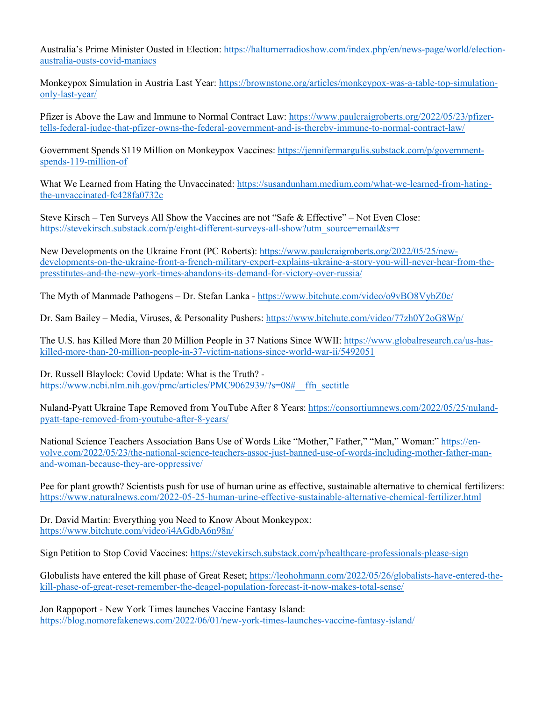Australia's Prime Minister Ousted in Election: https://halturnerradioshow.com/index.php/en/news-page/world/electionaustralia-ousts-covid-maniacs

Monkeypox Simulation in Austria Last Year: https://brownstone.org/articles/monkeypox-was-a-table-top-simulationonly-last-year/

Pfizer is Above the Law and Immune to Normal Contract Law: https://www.paulcraigroberts.org/2022/05/23/pfizertells-federal-judge-that-pfizer-owns-the-federal-government-and-is-thereby-immune-to-normal-contract-law/

Government Spends \$119 Million on Monkeypox Vaccines: https://jennifermargulis.substack.com/p/governmentspends-119-million-of

What We Learned from Hating the Unvaccinated: https://susandunham.medium.com/what-we-learned-from-hatingthe-unvaccinated-fc428fa0732c

Steve Kirsch – Ten Surveys All Show the Vaccines are not "Safe & Effective" – Not Even Close: https://stevekirsch.substack.com/p/eight-different-surveys-all-show?utm\_source=email&s=r

New Developments on the Ukraine Front (PC Roberts): https://www.paulcraigroberts.org/2022/05/25/newdevelopments-on-the-ukraine-front-a-french-military-expert-explains-ukraine-a-story-you-will-never-hear-from-thepresstitutes-and-the-new-york-times-abandons-its-demand-for-victory-over-russia/

The Myth of Manmade Pathogens – Dr. Stefan Lanka - https://www.bitchute.com/video/o9vBO8VybZ0c/

Dr. Sam Bailey – Media, Viruses, & Personality Pushers: https://www.bitchute.com/video/77zh0Y2oG8Wp/

The U.S. has Killed More than 20 Million People in 37 Nations Since WWII: https://www.globalresearch.ca/us-haskilled-more-than-20-million-people-in-37-victim-nations-since-world-war-ii/5492051

Dr. Russell Blaylock: Covid Update: What is the Truth? https://www.ncbi.nlm.nih.gov/pmc/articles/PMC9062939/?s=08# ffn\_sectitle

Nuland-Pyatt Ukraine Tape Removed from YouTube After 8 Years: https://consortiumnews.com/2022/05/25/nulandpyatt-tape-removed-from-youtube-after-8-years/

National Science Teachers Association Bans Use of Words Like "Mother," Father," "Man," Woman:" https://envolve.com/2022/05/23/the-national-science-teachers-assoc-just-banned-use-of-words-including-mother-father-manand-woman-because-they-are-oppressive/

Pee for plant growth? Scientists push for use of human urine as effective, sustainable alternative to chemical fertilizers: https://www.naturalnews.com/2022-05-25-human-urine-effective-sustainable-alternative-chemical-fertilizer.html

Dr. David Martin: Everything you Need to Know About Monkeypox: https://www.bitchute.com/video/i4AGdbA6n98n/

Sign Petition to Stop Covid Vaccines: https://stevekirsch.substack.com/p/healthcare-professionals-please-sign

Globalists have entered the kill phase of Great Reset; https://leohohmann.com/2022/05/26/globalists-have-entered-thekill-phase-of-great-reset-remember-the-deagel-population-forecast-it-now-makes-total-sense/

Jon Rappoport - New York Times launches Vaccine Fantasy Island: https://blog.nomorefakenews.com/2022/06/01/new-york-times-launches-vaccine-fantasy-island/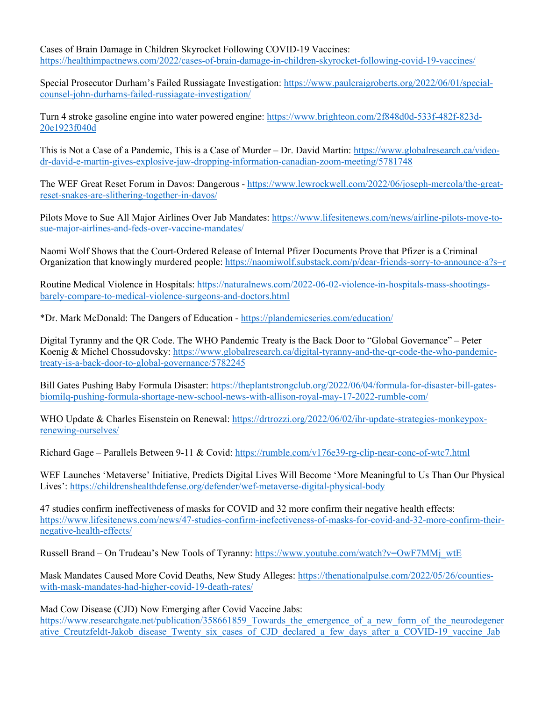Cases of Brain Damage in Children Skyrocket Following COVID-19 Vaccines: https://healthimpactnews.com/2022/cases-of-brain-damage-in-children-skyrocket-following-covid-19-vaccines/

Special Prosecutor Durham's Failed Russiagate Investigation: https://www.paulcraigroberts.org/2022/06/01/specialcounsel-john-durhams-failed-russiagate-investigation/

Turn 4 stroke gasoline engine into water powered engine: https://www.brighteon.com/2f848d0d-533f-482f-823d-20e1923f040d

This is Not a Case of a Pandemic, This is a Case of Murder – Dr. David Martin: https://www.globalresearch.ca/videodr-david-e-martin-gives-explosive-jaw-dropping-information-canadian-zoom-meeting/5781748

The WEF Great Reset Forum in Davos: Dangerous - https://www.lewrockwell.com/2022/06/joseph-mercola/the-greatreset-snakes-are-slithering-together-in-davos/

Pilots Move to Sue All Major Airlines Over Jab Mandates: https://www.lifesitenews.com/news/airline-pilots-move-tosue-major-airlines-and-feds-over-vaccine-mandates/

Naomi Wolf Shows that the Court-Ordered Release of Internal Pfizer Documents Prove that Pfizer is a Criminal Organization that knowingly murdered people: https://naomiwolf.substack.com/p/dear-friends-sorry-to-announce-a?s=r

Routine Medical Violence in Hospitals: https://naturalnews.com/2022-06-02-violence-in-hospitals-mass-shootingsbarely-compare-to-medical-violence-surgeons-and-doctors.html

\*Dr. Mark McDonald: The Dangers of Education - https://plandemicseries.com/education/

Digital Tyranny and the QR Code. The WHO Pandemic Treaty is the Back Door to "Global Governance" – Peter Koenig & Michel Chossudovsky: https://www.globalresearch.ca/digital-tyranny-and-the-qr-code-the-who-pandemictreaty-is-a-back-door-to-global-governance/5782245

Bill Gates Pushing Baby Formula Disaster: https://theplantstrongclub.org/2022/06/04/formula-for-disaster-bill-gatesbiomilq-pushing-formula-shortage-new-school-news-with-allison-royal-may-17-2022-rumble-com/

WHO Update & Charles Eisenstein on Renewal: https://drtrozzi.org/2022/06/02/ihr-update-strategies-monkeypoxrenewing-ourselves/

Richard Gage – Parallels Between 9-11 & Covid: https://rumble.com/v176e39-rg-clip-near-conc-of-wtc7.html

WEF Launches 'Metaverse' Initiative, Predicts Digital Lives Will Become 'More Meaningful to Us Than Our Physical Lives': https://childrenshealthdefense.org/defender/wef-metaverse-digital-physical-body

47 studies confirm ineffectiveness of masks for COVID and 32 more confirm their negative health effects: https://www.lifesitenews.com/news/47-studies-confirm-inefectiveness-of-masks-for-covid-and-32-more-confirm-theirnegative-health-effects/

Russell Brand – On Trudeau's New Tools of Tyranny: https://www.youtube.com/watch?v=OwF7MMj\_wtE

Mask Mandates Caused More Covid Deaths, New Study Alleges: https://thenationalpulse.com/2022/05/26/countieswith-mask-mandates-had-higher-covid-19-death-rates/

Mad Cow Disease (CJD) Now Emerging after Covid Vaccine Jabs: https://www.researchgate.net/publication/358661859 Towards the emergence of a new form of the neurodegener ative\_Creutzfeldt-Jakob\_disease\_Twenty\_six\_cases\_of\_CJD\_declared\_a\_few\_days\_after\_a\_COVID-19\_vaccine\_Jab